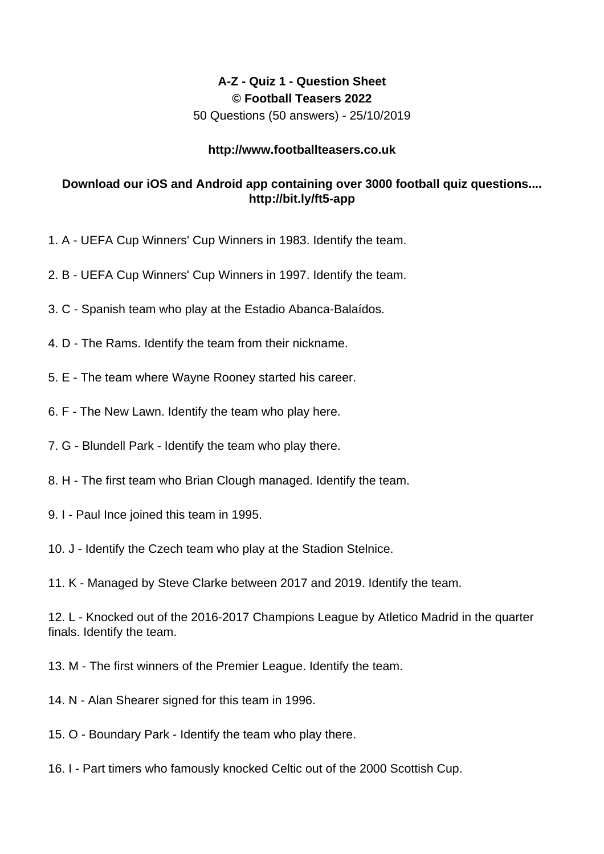## **A-Z - Quiz 1 - Question Sheet © Football Teasers 2022**

50 Questions (50 answers) - 25/10/2019

## **http://www.footballteasers.co.uk**

## **Download our iOS and Android app containing over 3000 football quiz questions.... http://bit.ly/ft5-app**

- 1. A UEFA Cup Winners' Cup Winners in 1983. Identify the team.
- 2. B UEFA Cup Winners' Cup Winners in 1997. Identify the team.
- 3. C Spanish team who play at the Estadio Abanca-Balaídos.
- 4. D The Rams. Identify the team from their nickname.
- 5. E The team where Wayne Rooney started his career.
- 6. F The New Lawn. Identify the team who play here.
- 7. G Blundell Park Identify the team who play there.
- 8. H The first team who Brian Clough managed. Identify the team.
- 9. I Paul Ince joined this team in 1995.
- 10. J Identify the Czech team who play at the Stadion Stelnice.
- 11. K Managed by Steve Clarke between 2017 and 2019. Identify the team.

12. L - Knocked out of the 2016-2017 Champions League by Atletico Madrid in the quarter finals. Identify the team.

13. M - The first winners of the Premier League. Identify the team.

- 14. N Alan Shearer signed for this team in 1996.
- 15. O Boundary Park Identify the team who play there.
- 16. I Part timers who famously knocked Celtic out of the 2000 Scottish Cup.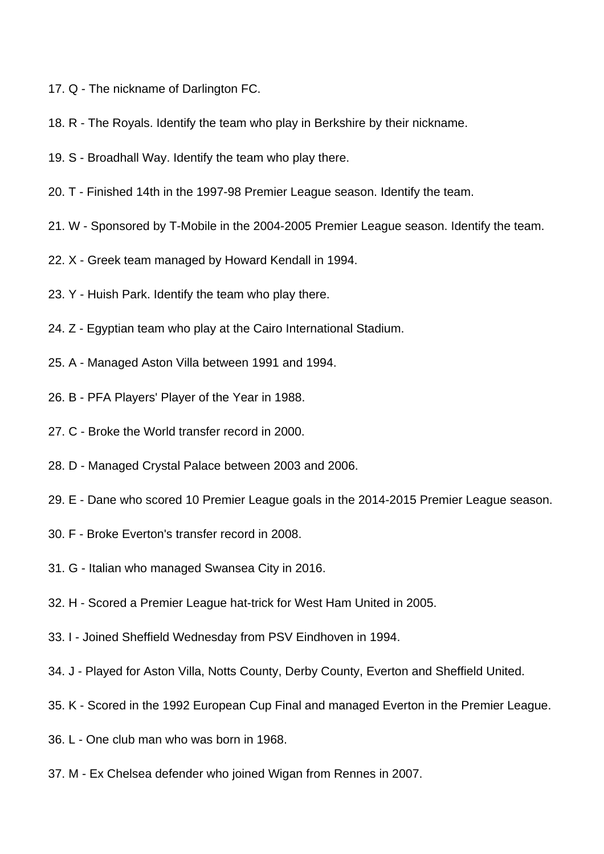- 17. Q The nickname of Darlington FC.
- 18. R The Royals. Identify the team who play in Berkshire by their nickname.
- 19. S Broadhall Way. Identify the team who play there.
- 20. T Finished 14th in the 1997-98 Premier League season. Identify the team.
- 21. W Sponsored by T-Mobile in the 2004-2005 Premier League season. Identify the team.
- 22. X Greek team managed by Howard Kendall in 1994.
- 23. Y Huish Park. Identify the team who play there.
- 24. Z Egyptian team who play at the Cairo International Stadium.
- 25. A Managed Aston Villa between 1991 and 1994.
- 26. B PFA Players' Player of the Year in 1988.
- 27. C Broke the World transfer record in 2000.
- 28. D Managed Crystal Palace between 2003 and 2006.
- 29. E Dane who scored 10 Premier League goals in the 2014-2015 Premier League season.
- 30. F Broke Everton's transfer record in 2008.
- 31. G Italian who managed Swansea City in 2016.
- 32. H Scored a Premier League hat-trick for West Ham United in 2005.
- 33. I Joined Sheffield Wednesday from PSV Eindhoven in 1994.
- 34. J Played for Aston Villa, Notts County, Derby County, Everton and Sheffield United.
- 35. K Scored in the 1992 European Cup Final and managed Everton in the Premier League.
- 36. L One club man who was born in 1968.
- 37. M Ex Chelsea defender who joined Wigan from Rennes in 2007.